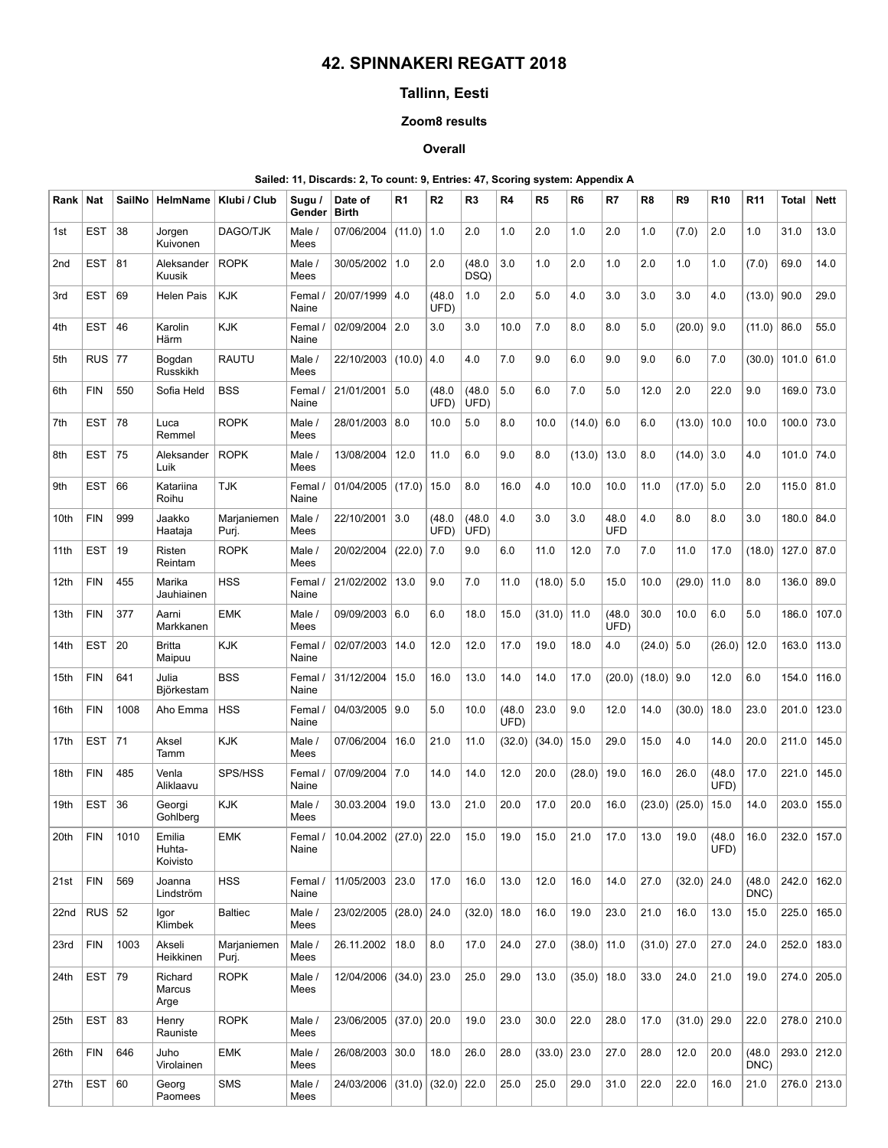# 42. SPINNAKERI REGATT 2018

## Tallinn, Eesti

### Zoom8 results

### **Overall**

#### Sailed: 11, Discards: 2, To count: 9, Entries: 47, Scoring system: Appendix A

| Rank            | <b>Nat</b> | SailNo | HelmName                     | Klubi / Club         | Sugu /<br>Gender | Date of<br><b>Birth</b>       | R1            | R <sub>2</sub> | R <sub>3</sub> | R4             | R <sub>5</sub> | R6            | R7                 | R8            | R9           | <b>R10</b>     | <b>R11</b>     | Total | <b>Nett</b>    |
|-----------------|------------|--------|------------------------------|----------------------|------------------|-------------------------------|---------------|----------------|----------------|----------------|----------------|---------------|--------------------|---------------|--------------|----------------|----------------|-------|----------------|
| 1st             | <b>EST</b> | 38     | Jorgen<br>Kuivonen           | DAGO/TJK             | Male /<br>Mees   | 07/06/2004                    | (11.0)        | 1.0            | 2.0            | 1.0            | 2.0            | 1.0           | 2.0                | 1.0           | (7.0)        | 2.0            | 1.0            | 31.0  | 13.0           |
| 2 <sub>nd</sub> | <b>EST</b> | 81     | Aleksander<br>Kuusik         | <b>ROPK</b>          | Male /<br>Mees   | 30/05/2002                    | 1.0           | 2.0            | (48.0)<br>DSQ) | 3.0            | 1.0            | 2.0           | 1.0                | 2.0           | 1.0          | 1.0            | (7.0)          | 69.0  | 14.0           |
| 3rd             | <b>EST</b> | 69     | <b>Helen Pais</b>            | <b>KJK</b>           | Femal /<br>Naine | 20/07/1999                    | 4.0           | (48.0)<br>UFD) | 1.0            | 2.0            | 5.0            | 4.0           | 3.0                | 3.0           | 3.0          | 4.0            | (13.0)         | 90.0  | 29.0           |
| 4th             | <b>EST</b> | 46     | Karolin<br>Härm              | KJK                  | Femal /<br>Naine | 02/09/2004                    | 2.0           | 3.0            | 3.0            | 10.0           | 7.0            | 8.0           | 8.0                | 5.0           | (20.0)       | 9.0            | (11.0)         | 86.0  | 55.0           |
| 5th             | <b>RUS</b> | 77     | Bogdan<br>Russkikh           | <b>RAUTU</b>         | Male /<br>Mees   | 22/10/2003                    | (10.0)        | 4.0            | 4.0            | 7.0            | 9.0            | 6.0           | 9.0                | 9.0           | 6.0          | 7.0            | (30.0)         | 101.0 | 61.0           |
| 6th             | <b>FIN</b> | 550    | Sofia Held                   | <b>BSS</b>           | Femal /<br>Naine | 21/01/2001                    | 5.0           | (48.0)<br>UFD) | (48.0)<br>UFD) | 5.0            | 6.0            | 7.0           | 5.0                | 12.0          | 2.0          | 22.0           | 9.0            | 169.0 | 73.0           |
| 7th             | <b>EST</b> | 78     | Luca<br>Remmel               | <b>ROPK</b>          | Male /<br>Mees   | 28/01/2003                    | 8.0           | 10.0           | 5.0            | 8.0            | 10.0           | (14.0)        | 6.0                | 6.0           | (13.0)       | 10.0           | 10.0           | 100.0 | 73.0           |
| 8th             | <b>EST</b> | 75     | Aleksander<br>Luik           | <b>ROPK</b>          | Male /<br>Mees   | 13/08/2004                    | 12.0          | 11.0           | 6.0            | 9.0            | 8.0            | (13.0)        | 13.0               | 8.0           | (14.0)       | 3.0            | 4.0            | 101.0 | 74.0           |
| 9th             | <b>EST</b> | 66     | Katariina<br>Roihu           | <b>TJK</b>           | Femal /<br>Naine | 01/04/2005                    | (17.0)        | 15.0           | 8.0            | 16.0           | 4.0            | 10.0          | 10.0               | 11.0          | $(17.0)$ 5.0 |                | 2.0            | 115.0 | 81.0           |
| 10th            | <b>FIN</b> | 999    | Jaakko<br>Haataja            | Marjaniemen<br>Puri. | Male /<br>Mees   | 22/10/2001                    | 3.0           | (48.0)<br>UFD) | (48.0)<br>UFD) | 4.0            | 3.0            | 3.0           | 48.0<br><b>UFD</b> | 4.0           | 8.0          | 8.0            | 3.0            | 180.0 | 84.0           |
| 11th            | <b>EST</b> | 19     | Risten<br>Reintam            | <b>ROPK</b>          | Male /<br>Mees   | 20/02/2004                    | (22.0)        | 7.0            | 9.0            | 6.0            | 11.0           | 12.0          | 7.0                | 7.0           | 11.0         | 17.0           | (18.0)         | 127.0 | 87.0           |
| 12th            | <b>FIN</b> | 455    | Marika<br>Jauhiainen         | <b>HSS</b>           | Femal /<br>Naine | 21/02/2002                    | 13.0          | 9.0            | 7.0            | 11.0           | $(18.0)$ 5.0   |               | 15.0               | 10.0          | (29.0)       | 11.0           | 8.0            | 136.0 | 89.0           |
| 13th            | <b>FIN</b> | 377    | Aarni<br>Markkanen           | <b>EMK</b>           | Male /<br>Mees   | 09/09/2003                    | 6.0           | 6.0            | 18.0           | 15.0           | (31.0)         | 11.0          | (48.0)<br>UFD)     | 30.0          | 10.0         | 6.0            | 5.0            | 186.0 | 107.0          |
| 14th            | <b>EST</b> | 20     | <b>Britta</b><br>Maipuu      | <b>KJK</b>           | Femal /<br>Naine | 02/07/2003                    | 14.0          | 12.0           | 12.0           | 17.0           | 19.0           | 18.0          | 4.0                | (24.0)        | 5.0          | (26.0)         | 12.0           | 163.0 | 113.0          |
| 15th            | <b>FIN</b> | 641    | Julia<br>Björkestam          | <b>BSS</b>           | Femal /<br>Naine | 31/12/2004                    | 15.0          | 16.0           | 13.0           | 14.0           | 14.0           | 17.0          | (20.0)             | (18.0)        | 9.0          | 12.0           | 6.0            | 154.0 | 116.0          |
| 16th            | <b>FIN</b> | 1008   | Aho Emma                     | <b>HSS</b>           | Femal /<br>Naine | 04/03/2005                    | 9.0           | 5.0            | 10.0           | (48.0)<br>UFD) | 23.0           | 9.0           | 12.0               | 14.0          | (30.0)       | 18.0           | 23.0           | 201.0 | 123.0          |
| 17th            | <b>EST</b> | 71     | Aksel<br>Tamm                | KJK                  | Male /<br>Mees   | 07/06/2004                    | 16.0          | 21.0           | 11.0           | (32.0)         | (34.0)         | 15.0          | 29.0               | 15.0          | 4.0          | 14.0           | 20.0           | 211.0 | 145.0          |
| 18th            | <b>FIN</b> | 485    | Venla<br>Aliklaavu           | SPS/HSS              | Femal /<br>Naine | 07/09/2004                    | 7.0           | 14.0           | 14.0           | 12.0           | 20.0           | (28.0)        | 19.0               | 16.0          | 26.0         | (48.0)<br>UFD) | 17.0           | 221.0 | 145.0          |
| 19th            | <b>EST</b> | 36     | Georgi<br>Gohlberg           | KJK                  | Male /<br>Mees   | 30.03.2004                    | 19.0          | 13.0           | 21.0           | 20.0           | 17.0           | 20.0          | 16.0               | (23.0)        | (25.0)       | 15.0           | 14.0           | 203.0 | 155.0          |
| 20th            | FIN        | 1010   | Emilia<br>Huhta-<br>Koivisto | <b>EMK</b>           | Femal /<br>Naine | 10.04.2002 $(27.0)$ 22.0      |               |                | 15.0           | 19.0           | 15.0           | 21.0          | 17.0               | 13.0          | 19.0         | (48.0)<br>UFD) | 16.0           |       | 232.0 $ 157.0$ |
| 21st            | <b>FIN</b> | 569    | Joanna<br>Lindström          | <b>HSS</b>           | Femal /<br>Naine | 11/05/2003                    | 23.0          | 17.0           | 16.0           | 13.0           | 12.0           | 16.0          | 14.0               | 27.0          | (32.0)       | 24.0           | (48.0)<br>DNC) | 242.0 | 162.0          |
| 22nd            | $RUS$ 52   |        | Igor<br>Klimbek              | <b>Baltiec</b>       | Male /<br>Mees   | 23/02/2005                    | $(28.0)$ 24.0 |                | (32.0)         | 18.0           | 16.0           | 19.0          | 23.0               | 21.0          | 16.0         | 13.0           | 15.0           | 225.0 | 165.0          |
| 23rd            | <b>FIN</b> | 1003   | Akseli<br>Heikkinen          | Marjaniemen<br>Puri. | Male /<br>Mees   | 26.11.2002                    | 18.0          | 8.0            | 17.0           | 24.0           | 27.0           | $(38.0)$ 11.0 |                    | $(31.0)$ 27.0 |              | 27.0           | 24.0           | 252.0 | 183.0          |
| 24th            | <b>EST</b> | 79     | Richard<br>Marcus<br>Arge    | <b>ROPK</b>          | Male /<br>Mees   | 12/04/2006                    | $(34.0)$ 23.0 |                | 25.0           | 29.0           | 13.0           | $(35.0)$ 18.0 |                    | 33.0          | 24.0         | 21.0           | 19.0           |       | 274.0 205.0    |
| 25th            | EST        | 83     | Henry<br>Rauniste            | <b>ROPK</b>          | Male /<br>Mees   | 23/06/2005                    | $(37.0)$ 20.0 |                | 19.0           | 23.0           | 30.0           | 22.0          | 28.0               | 17.0          | (31.0)       | 29.0           | 22.0           |       | 278.0 210.0    |
| 26th            | <b>FIN</b> | 646    | Juho<br>Virolainen           | <b>EMK</b>           | Male /<br>Mees   | 26/08/2003 30.0               |               | 18.0           | 26.0           | 28.0           | $(33.0)$ 23.0  |               | 27.0               | 28.0          | 12.0         | 20.0           | (48.0)<br>DNC) |       | 293.0 212.0    |
| 27th            | <b>EST</b> | 60     | Georg<br>Paomees             | SMS                  | Male /<br>Mees   | 24/03/2006 (31.0) (32.0) 22.0 |               |                |                | 25.0           | 25.0           | 29.0          | 31.0               | 22.0          | 22.0         | 16.0           | 21.0           |       | 276.0 213.0    |
|                 |            |        |                              |                      |                  |                               |               |                |                |                |                |               |                    |               |              |                |                |       |                |